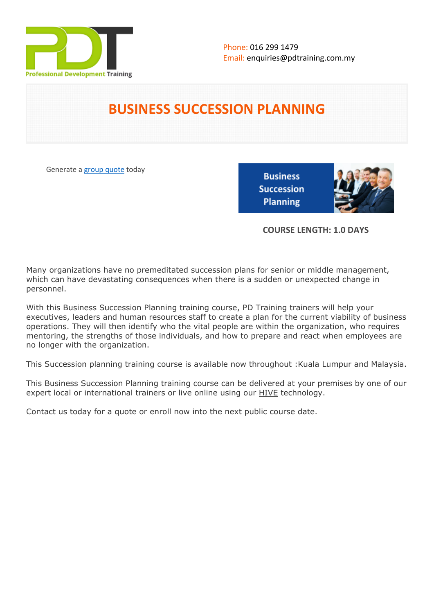

# **BUSINESS SUCCESSION PLANNING**

Generate a [group quote](https://pdtraining.com.my/inhouse-training-quote?cse=PDT0044) today

**Business Succession Planning** 



**COURSE LENGTH: 1.0 DAYS**

Many organizations have no premeditated succession plans for senior or middle management, which can have devastating consequences when there is a sudden or unexpected change in personnel.

With this Business Succession Planning training course, PD Training trainers will help your executives, leaders and human resources staff to create a plan for the current viability of business operations. They will then identify who the vital people are within the organization, who requires mentoring, the strengths of those individuals, and how to prepare and react when employees are no longer with the organization.

This Succession planning training course is available now throughout :Kuala Lumpur and Malaysia.

This Business Succession Planning training course can be delivered at your premises by one of our expert local or international trainers or live online using our HIVE technology.

Contact us today for a quote or enroll now into the next public course date.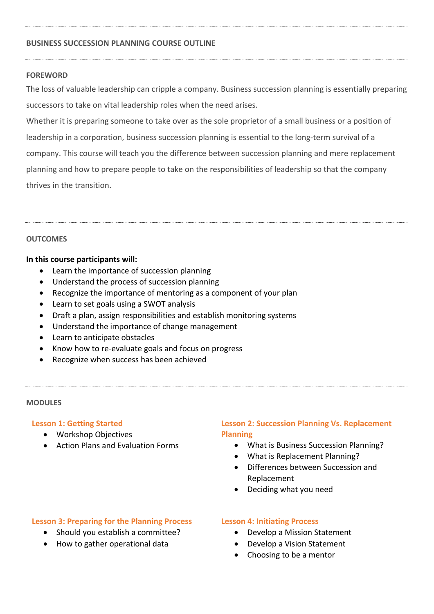#### **BUSINESS SUCCESSION PLANNING COURSE OUTLINE**

#### **FOREWORD**

The loss of valuable leadership can cripple a company. Business succession planning is essentially preparing successors to take on vital leadership roles when the need arises.

Whether it is preparing someone to take over as the sole proprietor of a small business or a position of leadership in a corporation, business succession planning is essential to the long-term survival of a company. This course will teach you the difference between succession planning and mere replacement planning and how to prepare people to take on the responsibilities of leadership so that the company thrives in the transition.

#### **OUTCOMES**

#### **In this course participants will:**

- Learn the importance of succession planning
- Understand the process of succession planning
- Recognize the importance of mentoring as a component of your plan
- Learn to set goals using a SWOT analysis
- Draft a plan, assign responsibilities and establish monitoring systems
- Understand the importance of change management
- Learn to anticipate obstacles
- Know how to re-evaluate goals and focus on progress
- Recognize when success has been achieved

#### **MODULES**

#### **Lesson 1: Getting Started**

- Workshop Objectives
- Action Plans and Evaluation Forms

## **Lesson 2: Succession Planning Vs. Replacement Planning**

- What is Business Succession Planning?
- What is Replacement Planning?
- Differences between Succession and Replacement
- Deciding what you need

### **Lesson 3: Preparing for the Planning Process**

- Should you establish a committee?
- How to gather operational data

#### **Lesson 4: Initiating Process**

- Develop a Mission Statement
- Develop a Vision Statement
- Choosing to be a mentor